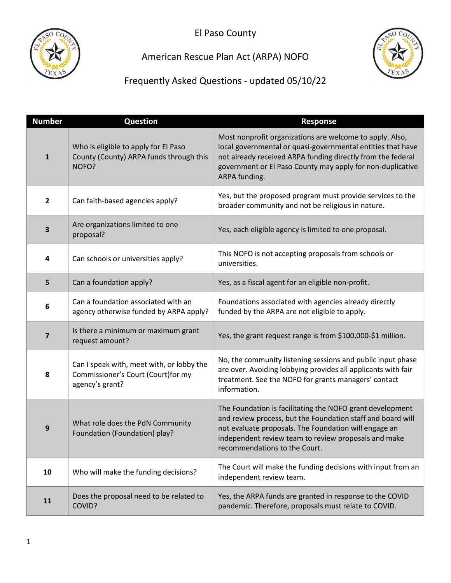

# American Rescue Plan Act (ARPA) NOFO



| <b>Number</b>  | <b>Question</b>                                                                                     | <b>Response</b>                                                                                                                                                                                                                                                            |
|----------------|-----------------------------------------------------------------------------------------------------|----------------------------------------------------------------------------------------------------------------------------------------------------------------------------------------------------------------------------------------------------------------------------|
| $\mathbf{1}$   | Who is eligible to apply for El Paso<br>County (County) ARPA funds through this<br>NOFO?            | Most nonprofit organizations are welcome to apply. Also,<br>local governmental or quasi-governmental entities that have<br>not already received ARPA funding directly from the federal<br>government or El Paso County may apply for non-duplicative<br>ARPA funding.      |
| $\mathbf{2}$   | Can faith-based agencies apply?                                                                     | Yes, but the proposed program must provide services to the<br>broader community and not be religious in nature.                                                                                                                                                            |
| 3              | Are organizations limited to one<br>proposal?                                                       | Yes, each eligible agency is limited to one proposal.                                                                                                                                                                                                                      |
| 4              | Can schools or universities apply?                                                                  | This NOFO is not accepting proposals from schools or<br>universities.                                                                                                                                                                                                      |
| 5              | Can a foundation apply?                                                                             | Yes, as a fiscal agent for an eligible non-profit.                                                                                                                                                                                                                         |
| 6              | Can a foundation associated with an<br>agency otherwise funded by ARPA apply?                       | Foundations associated with agencies already directly<br>funded by the ARPA are not eligible to apply.                                                                                                                                                                     |
| $\overline{7}$ | Is there a minimum or maximum grant<br>request amount?                                              | Yes, the grant request range is from \$100,000-\$1 million.                                                                                                                                                                                                                |
| 8              | Can I speak with, meet with, or lobby the<br>Commissioner's Court (Court) for my<br>agency's grant? | No, the community listening sessions and public input phase<br>are over. Avoiding lobbying provides all applicants with fair<br>treatment. See the NOFO for grants managers' contact<br>information.                                                                       |
| 9              | What role does the PdN Community<br>Foundation (Foundation) play?                                   | The Foundation is facilitating the NOFO grant development<br>and review process, but the Foundation staff and board will<br>not evaluate proposals. The Foundation will engage an<br>independent review team to review proposals and make<br>recommendations to the Court. |
| 10             | Who will make the funding decisions?                                                                | The Court will make the funding decisions with input from an<br>independent review team.                                                                                                                                                                                   |
| 11             | Does the proposal need to be related to<br>COVID?                                                   | Yes, the ARPA funds are granted in response to the COVID<br>pandemic. Therefore, proposals must relate to COVID.                                                                                                                                                           |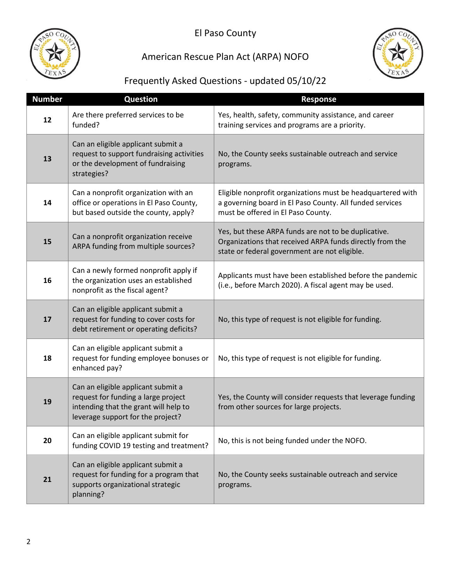

## American Rescue Plan Act (ARPA) NOFO



| <b>Number</b> | <b>Question</b>                                                                                                                                         | <b>Response</b>                                                                                                                                                   |
|---------------|---------------------------------------------------------------------------------------------------------------------------------------------------------|-------------------------------------------------------------------------------------------------------------------------------------------------------------------|
| 12            | Are there preferred services to be<br>funded?                                                                                                           | Yes, health, safety, community assistance, and career<br>training services and programs are a priority.                                                           |
| 13            | Can an eligible applicant submit a<br>request to support fundraising activities<br>or the development of fundraising<br>strategies?                     | No, the County seeks sustainable outreach and service<br>programs.                                                                                                |
| 14            | Can a nonprofit organization with an<br>office or operations in El Paso County,<br>but based outside the county, apply?                                 | Eligible nonprofit organizations must be headquartered with<br>a governing board in El Paso County. All funded services<br>must be offered in El Paso County.     |
| 15            | Can a nonprofit organization receive<br>ARPA funding from multiple sources?                                                                             | Yes, but these ARPA funds are not to be duplicative.<br>Organizations that received ARPA funds directly from the<br>state or federal government are not eligible. |
| 16            | Can a newly formed nonprofit apply if<br>the organization uses an established<br>nonprofit as the fiscal agent?                                         | Applicants must have been established before the pandemic<br>(i.e., before March 2020). A fiscal agent may be used.                                               |
| 17            | Can an eligible applicant submit a<br>request for funding to cover costs for<br>debt retirement or operating deficits?                                  | No, this type of request is not eligible for funding.                                                                                                             |
| 18            | Can an eligible applicant submit a<br>request for funding employee bonuses or<br>enhanced pay?                                                          | No, this type of request is not eligible for funding.                                                                                                             |
| 19            | Can an eligible applicant submit a<br>request for funding a large project<br>intending that the grant will help to<br>leverage support for the project? | Yes, the County will consider requests that leverage funding<br>from other sources for large projects.                                                            |
| 20            | Can an eligible applicant submit for<br>funding COVID 19 testing and treatment?                                                                         | No, this is not being funded under the NOFO.                                                                                                                      |
| 21            | Can an eligible applicant submit a<br>request for funding for a program that<br>supports organizational strategic<br>planning?                          | No, the County seeks sustainable outreach and service<br>programs.                                                                                                |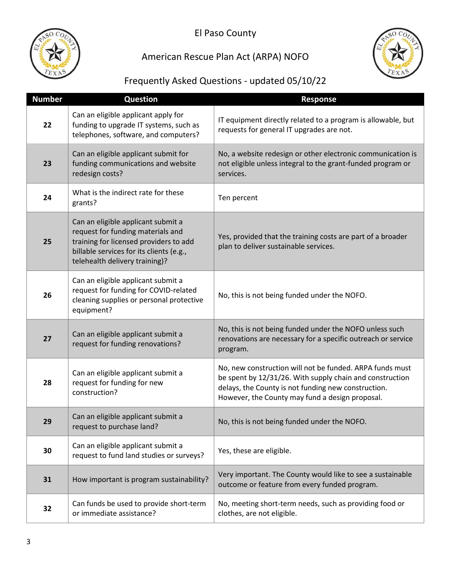

## American Rescue Plan Act (ARPA) NOFO



| <b>Number</b> | <b>Question</b>                                                                                                                                                                                 | <b>Response</b>                                                                                                                                                                                                                |
|---------------|-------------------------------------------------------------------------------------------------------------------------------------------------------------------------------------------------|--------------------------------------------------------------------------------------------------------------------------------------------------------------------------------------------------------------------------------|
| 22            | Can an eligible applicant apply for<br>funding to upgrade IT systems, such as<br>telephones, software, and computers?                                                                           | IT equipment directly related to a program is allowable, but<br>requests for general IT upgrades are not.                                                                                                                      |
| 23            | Can an eligible applicant submit for<br>funding communications and website<br>redesign costs?                                                                                                   | No, a website redesign or other electronic communication is<br>not eligible unless integral to the grant-funded program or<br>services.                                                                                        |
| 24            | What is the indirect rate for these<br>grants?                                                                                                                                                  | Ten percent                                                                                                                                                                                                                    |
| 25            | Can an eligible applicant submit a<br>request for funding materials and<br>training for licensed providers to add<br>billable services for its clients (e.g.,<br>telehealth delivery training)? | Yes, provided that the training costs are part of a broader<br>plan to deliver sustainable services.                                                                                                                           |
| 26            | Can an eligible applicant submit a<br>request for funding for COVID-related<br>cleaning supplies or personal protective<br>equipment?                                                           | No, this is not being funded under the NOFO.                                                                                                                                                                                   |
| 27            | Can an eligible applicant submit a<br>request for funding renovations?                                                                                                                          | No, this is not being funded under the NOFO unless such<br>renovations are necessary for a specific outreach or service<br>program.                                                                                            |
| 28            | Can an eligible applicant submit a<br>request for funding for new<br>construction?                                                                                                              | No, new construction will not be funded. ARPA funds must<br>be spent by 12/31/26. With supply chain and construction<br>delays, the County is not funding new construction.<br>However, the County may fund a design proposal. |
| 29            | Can an eligible applicant submit a<br>request to purchase land?                                                                                                                                 | No, this is not being funded under the NOFO.                                                                                                                                                                                   |
| 30            | Can an eligible applicant submit a<br>request to fund land studies or surveys?                                                                                                                  | Yes, these are eligible.                                                                                                                                                                                                       |
| 31            | How important is program sustainability?                                                                                                                                                        | Very important. The County would like to see a sustainable<br>outcome or feature from every funded program.                                                                                                                    |
| 32            | Can funds be used to provide short-term<br>or immediate assistance?                                                                                                                             | No, meeting short-term needs, such as providing food or<br>clothes, are not eligible.                                                                                                                                          |